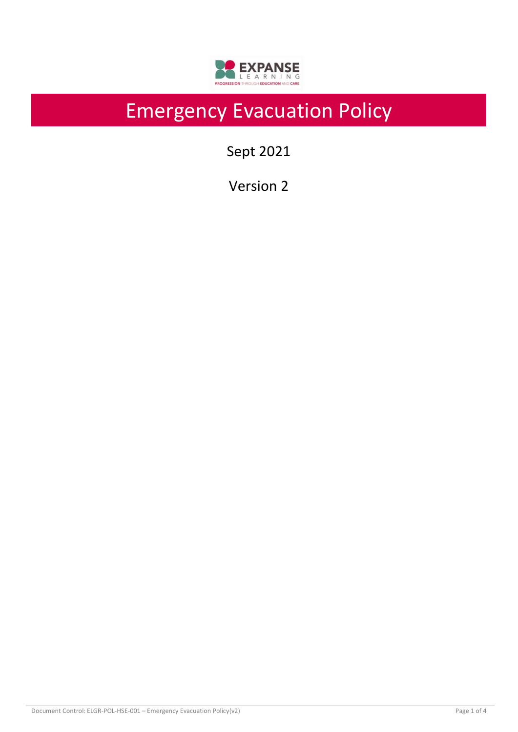

# Emergency Evacuation Policy

Sept 2021

Version 2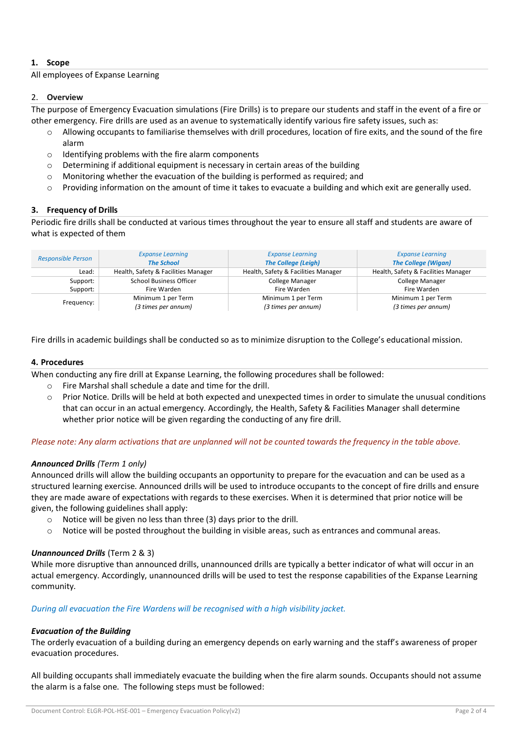# **1. Scope**

#### All employees of Expanse Learning

#### 2. **Overview**

The purpose of Emergency Evacuation simulations (Fire Drills) is to prepare our students and staff in the event of a fire or other emergency. Fire drills are used as an avenue to systematically identify various fire safety issues, such as:

- Allowing occupants to familiarise themselves with drill procedures, location of fire exits, and the sound of the fire alarm
- o Identifying problems with the fire alarm components
- o Determining if additional equipment is necessary in certain areas of the building
- o Monitoring whether the evacuation of the building is performed as required; and
- $\circ$  Providing information on the amount of time it takes to evacuate a building and which exit are generally used.

## **3. Frequency of Drills**

Periodic fire drills shall be conducted at various times throughout the year to ensure all staff and students are aware of what is expected of them

| <b>Responsible Person</b> | <b>Expanse Learning</b><br><b>The School</b> | <b>Expanse Learning</b><br><b>The College (Leigh)</b> | <b>Expanse Learning</b><br><b>The College (Wigan)</b> |
|---------------------------|----------------------------------------------|-------------------------------------------------------|-------------------------------------------------------|
| Lead:                     | Health, Safety & Facilities Manager          | Health, Safety & Facilities Manager                   | Health, Safety & Facilities Manager                   |
| Support:                  | School Business Officer                      | College Manager                                       | <b>College Manager</b>                                |
| Support:                  | Fire Warden                                  | Fire Warden                                           | Fire Warden                                           |
| Frequency:                | Minimum 1 per Term                           | Minimum 1 per Term                                    | Minimum 1 per Term                                    |
|                           | (3 times per annum)                          | (3 times per annum)                                   | (3 times per annum)                                   |

Fire drills in academic buildings shall be conducted so as to minimize disruption to the College's educational mission.

#### **4. Procedures**

When conducting any fire drill at Expanse Learning, the following procedures shall be followed:

- o Fire Marshal shall schedule a date and time for the drill.
- o Prior Notice. Drills will be held at both expected and unexpected times in order to simulate the unusual conditions that can occur in an actual emergency. Accordingly, the Health, Safety & Facilities Manager shall determine whether prior notice will be given regarding the conducting of any fire drill.

## *Please note: Any alarm activations that are unplanned will not be counted towards the frequency in the table above.*

## *Announced Drills (Term 1 only)*

Announced drills will allow the building occupants an opportunity to prepare for the evacuation and can be used as a structured learning exercise. Announced drills will be used to introduce occupants to the concept of fire drills and ensure they are made aware of expectations with regards to these exercises. When it is determined that prior notice will be given, the following guidelines shall apply:

- o Notice will be given no less than three (3) days prior to the drill.
- o Notice will be posted throughout the building in visible areas, such as entrances and communal areas.

## *Unannounced Drills* (Term 2 & 3)

While more disruptive than announced drills, unannounced drills are typically a better indicator of what will occur in an actual emergency. Accordingly, unannounced drills will be used to test the response capabilities of the Expanse Learning community.

#### *During all evacuation the Fire Wardens will be recognised with a high visibility jacket.*

## *Evacuation of the Building*

The orderly evacuation of a building during an emergency depends on early warning and the staff's awareness of proper evacuation procedures.

All building occupants shall immediately evacuate the building when the fire alarm sounds. Occupants should not assume the alarm is a false one. The following steps must be followed: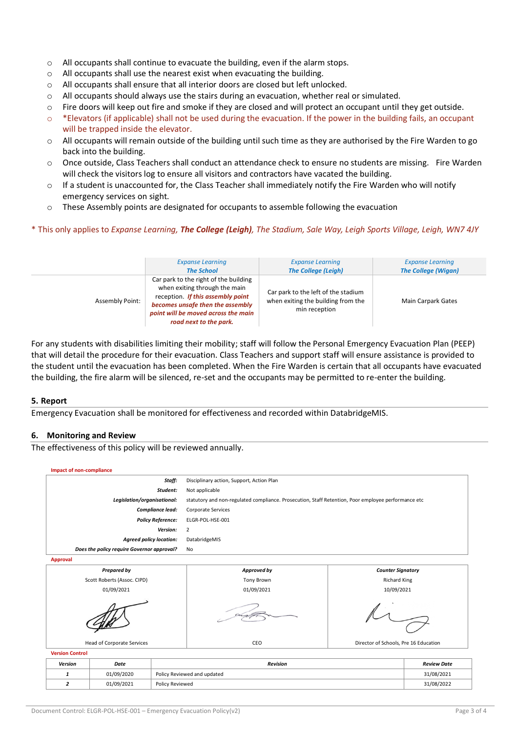- o All occupants shall continue to evacuate the building, even if the alarm stops.
- o All occupants shall use the nearest exist when evacuating the building.
- $\circ$  All occupants shall ensure that all interior doors are closed but left unlocked.
- $\circ$  All occupants should always use the stairs during an evacuation, whether real or simulated.
- $\circ$  Fire doors will keep out fire and smoke if they are closed and will protect an occupant until they get outside.
- $\circ$  \*Elevators (if applicable) shall not be used during the evacuation. If the power in the building fails, an occupant will be trapped inside the elevator.
- $\circ$  All occupants will remain outside of the building until such time as they are authorised by the Fire Warden to go back into the building.
- o Once outside, Class Teachers shall conduct an attendance check to ensure no students are missing. Fire Warden will check the visitors log to ensure all visitors and contractors have vacated the building.
- o If a student is unaccounted for, the Class Teacher shall immediately notify the Fire Warden who will notify emergency services on sight.
- o These Assembly points are designated for occupants to assemble following the evacuation

#### \* This only applies to *Expanse Learning, The College (Leigh), The Stadium, Sale Way, Leigh Sports Village, Leigh, WN7 4JY*

|                        | <b>Expanse Learning</b>                                                                                                                                                                                          | <b>Expanse Learning</b>                                                                    | <b>Expanse Learning</b>    |
|------------------------|------------------------------------------------------------------------------------------------------------------------------------------------------------------------------------------------------------------|--------------------------------------------------------------------------------------------|----------------------------|
|                        | <b>The School</b>                                                                                                                                                                                                | <b>The College (Leigh)</b>                                                                 | <b>The College (Wigan)</b> |
| <b>Assembly Point:</b> | Car park to the right of the building<br>when exiting through the main<br>reception. If this assembly point<br>becomes unsafe then the assembly<br>point will be moved across the main<br>road next to the park. | Car park to the left of the stadium<br>when exiting the building from the<br>min reception | <b>Main Carpark Gates</b>  |

For any students with disabilities limiting their mobility; staff will follow the Personal Emergency Evacuation Plan (PEEP) that will detail the procedure for their evacuation. Class Teachers and support staff will ensure assistance is provided to the student until the evacuation has been completed. When the Fire Warden is certain that all occupants have evacuated the building, the fire alarm will be silenced, re-set and the occupants may be permitted to re-enter the building.

#### **5. Report**

Emergency Evacuation shall be monitored for effectiveness and recorded within DatabridgeMIS.

## **6. Monitoring and Review**

The effectiveness of this policy will be reviewed annually.

| Staff:                                     |                    |                                | Disciplinary action, Support, Action Plan                                                           |                                       |            |  |
|--------------------------------------------|--------------------|--------------------------------|-----------------------------------------------------------------------------------------------------|---------------------------------------|------------|--|
| Student:                                   |                    |                                | Not applicable                                                                                      |                                       |            |  |
| Legislation/organisational:                |                    |                                | statutory and non-regulated compliance. Prosecution, Staff Retention, Poor employee performance etc |                                       |            |  |
| Compliance lead:                           |                    |                                | <b>Corporate Services</b>                                                                           |                                       |            |  |
| <b>Policy Reference:</b>                   |                    |                                | ELGR-POL-HSE-001                                                                                    |                                       |            |  |
| Version:                                   |                    |                                | $\overline{2}$                                                                                      |                                       |            |  |
| <b>Agreed policy location:</b>             |                    |                                | DatabridgeMIS                                                                                       |                                       |            |  |
| Does the policy require Governor approval? |                    |                                | No                                                                                                  |                                       |            |  |
| <b>Approval</b>                            |                    |                                |                                                                                                     |                                       |            |  |
|                                            | <b>Prepared by</b> |                                | Approved by                                                                                         | <b>Counter Signatory</b>              |            |  |
| Scott Roberts (Assoc. CIPD)                |                    |                                | <b>Tony Brown</b>                                                                                   | <b>Richard King</b>                   |            |  |
| 01/09/2021                                 |                    |                                | 01/09/2021                                                                                          | 10/09/2021                            |            |  |
|                                            |                    |                                |                                                                                                     |                                       |            |  |
| <b>Head of Corporate Services</b>          |                    |                                | CEO                                                                                                 | Director of Schools, Pre 16 Education |            |  |
| <b>Version Control</b>                     |                    |                                |                                                                                                     |                                       |            |  |
| Version                                    | Date               | Revision<br><b>Review Date</b> |                                                                                                     |                                       |            |  |
| 1                                          | 01/09/2020         | Policy Reviewed and updated    |                                                                                                     |                                       | 31/08/2021 |  |

*2* 01/09/2021 Policy Reviewed 31/08/2022